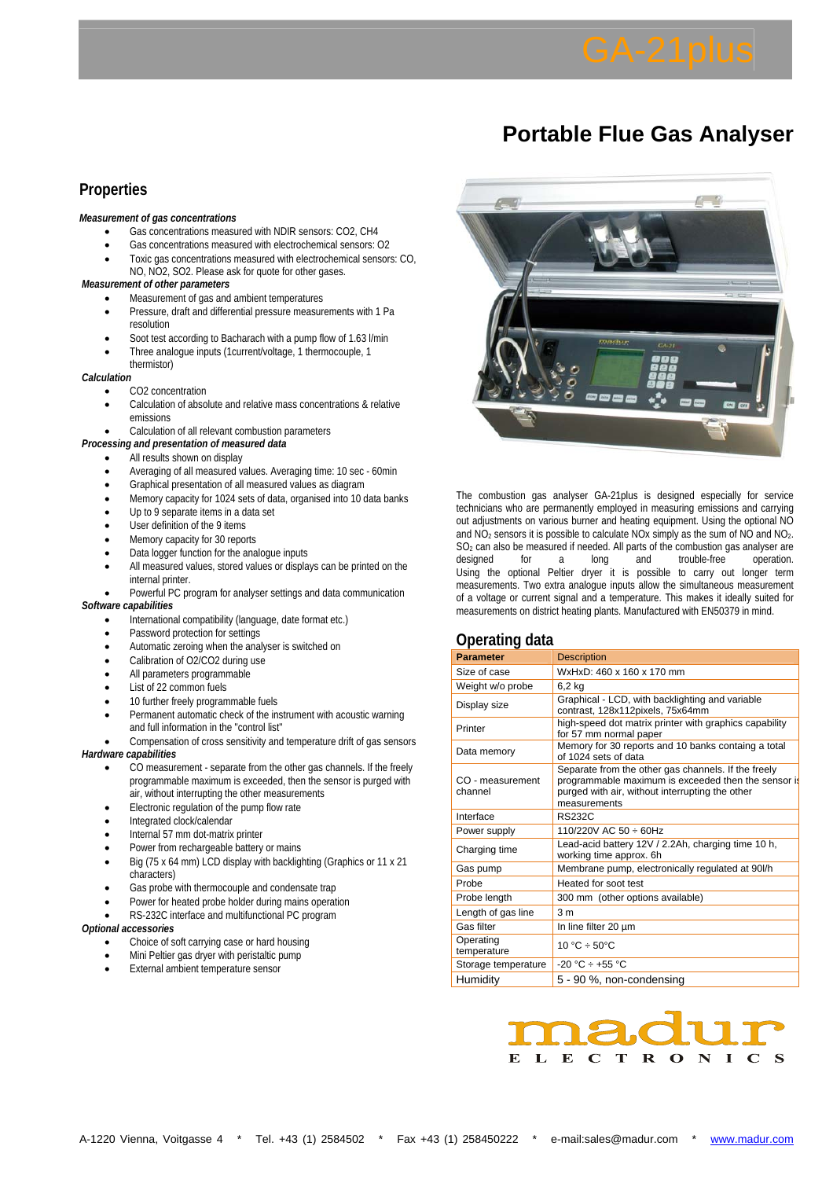# **Portable Flue Gas Analyser**

## **Properties**

#### *Measurement of gas concentrations*

- Gas concentrations measured with NDIR sensors: CO2, CH4
- Gas concentrations measured with electrochemical sensors: O2
- Toxic gas concentrations measured with electrochemical sensors: CO, NO, NO2, SO2. Please ask for quote for other gases.

#### *Measurement of other parameters*

- Measurement of gas and ambient temperatures
- Pressure, draft and differential pressure measurements with 1 Pa resolution
- Soot test according to Bacharach with a pump flow of 1.63 l/min
- Three analogue inputs (1current/voltage, 1 thermocouple, 1
- thermistor)

*Calculation* 

- CO2 concentration
- Calculation of absolute and relative mass concentrations & relative emissions
- Calculation of all relevant combustion parameters
- *Processing and presentation of measured data*

#### All results shown on display

- Averaging of all measured values. Averaging time: 10 sec 60min
- Graphical presentation of all measured values as diagram
- Memory capacity for 1024 sets of data, organised into 10 data banks
- Up to 9 separate items in a data set
- User definition of the 9 items
- Memory capacity for 30 reports
- Data logger function for the analogue inputs
- All measured values, stored values or displays can be printed on the internal printer.

• Powerful PC program for analyser settings and data communication *Software capabilities* 

- International compatibility (language, date format etc.)
- Password protection for settings
- Automatic zeroing when the analyser is switched on
- Calibration of O2/CO2 during use
- All parameters programmable
- List of 22 common fuels
- 10 further freely programmable fuels
- Permanent automatic check of the instrument with acoustic warning and full information in the "control list"
- Compensation of cross sensitivity and temperature drift of gas sensors *Hardware capabilities* 
	- CO measurement separate from the other gas channels. If the freely programmable maximum is exceeded, then the sensor is purged with air, without interrupting the other measurements
	- Electronic regulation of the pump flow rate
	- Integrated clock/calendar
	- Internal 57 mm dot-matrix printer
	- Power from rechargeable battery or mains
	- Big (75 x 64 mm) LCD display with backlighting (Graphics or 11 x 21 characters)
	- Gas probe with thermocouple and condensate trap
	- Power for heated probe holder during mains operation
	- RS-232C interface and multifunctional PC program

#### *Optional accessories*

- Choice of soft carrying case or hard housing
- Mini Peltier gas dryer with peristaltic pump
- External ambient temperature sensor



The combustion gas analyser GA-21plus is designed especially for service technicians who are permanently employed in measuring emissions and carrying out adjustments on various burner and heating equipment. Using the optional NO and  $NO<sub>2</sub>$  sensors it is possible to calculate NOx simply as the sum of NO and NO<sub>2</sub>.  $SO<sub>2</sub>$  can also be measured if needed. All parts of the combustion gas analyser are designed for a long and trouble-free operation. designed for a long and trouble-free operation. Using the optional Peltier dryer it is possible to carry out longer term measurements. Two extra analogue inputs allow the simultaneous measurement of a voltage or current signal and a temperature. This makes it ideally suited for measurements on district heating plants. Manufactured with EN50379 in mind.

### **Operating data**

| <b>Parameter</b>            | <b>Description</b>                                                                                                                                                            |  |  |  |
|-----------------------------|-------------------------------------------------------------------------------------------------------------------------------------------------------------------------------|--|--|--|
| Size of case                | WxHxD: 460 x 160 x 170 mm                                                                                                                                                     |  |  |  |
| Weight w/o probe            | 6,2 kg                                                                                                                                                                        |  |  |  |
| Display size                | Graphical - LCD, with backlighting and variable<br>contrast, 128x112pixels, 75x64mm                                                                                           |  |  |  |
| Printer                     | high-speed dot matrix printer with graphics capability<br>for 57 mm normal paper                                                                                              |  |  |  |
| Data memory                 | Memory for 30 reports and 10 banks containg a total<br>of 1024 sets of data                                                                                                   |  |  |  |
| CO - measurement<br>channel | Separate from the other gas channels. If the freely<br>programmable maximum is exceeded then the sensor is<br>purged with air, without interrupting the other<br>measurements |  |  |  |
| Interface                   | <b>RS232C</b>                                                                                                                                                                 |  |  |  |
| Power supply                | 110/220V AC 50 ÷ 60Hz                                                                                                                                                         |  |  |  |
| Charging time               | Lead-acid battery 12V / 2.2Ah, charging time 10 h,<br>working time approx. 6h                                                                                                 |  |  |  |
| Gas pump                    | Membrane pump, electronically regulated at 90l/h                                                                                                                              |  |  |  |
| Probe                       | Heated for soot test                                                                                                                                                          |  |  |  |
| Probe length                | 300 mm (other options available)                                                                                                                                              |  |  |  |
| Length of gas line          | 3 <sub>m</sub>                                                                                                                                                                |  |  |  |
| Gas filter                  | In line filter 20 um                                                                                                                                                          |  |  |  |
| Operating<br>temperature    | $10 °C \div 50 °C$                                                                                                                                                            |  |  |  |
| Storage temperature         | $-20 °C \div +55 °C$                                                                                                                                                          |  |  |  |
| Humidity                    | 5 - 90 %, non-condensing                                                                                                                                                      |  |  |  |